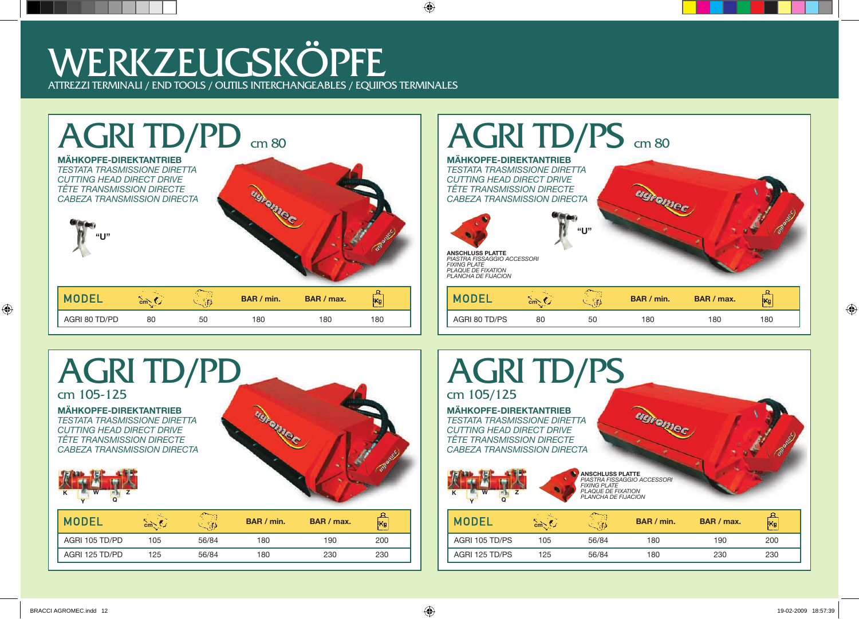





## AGRI TD/PS cm 105/125

**MÄHKOPFE-DIREKTANTRIEB** *TESTATA TRASMISSIONE DIRETTA CUTTING HEAD DIRECT DRIVE TÊTE TRANSMISSION DIRECTE CABEZA TRANSMISSION DIRECTA*



**ANSCHLUSS PLATTE** *PIASTRA FISSAGGIO ACCESSORI FIXING PLATE PLAQUE DE FIXATION PLANCHA DE FIJACION* **<sup>K</sup>**

**GGFONIEC** 

| BAR / min. | BAR / max. | IKg |                | cm <sub>2</sub> | 艺剧    | BAR / min. | BAR / max. | Kg  |
|------------|------------|-----|----------------|-----------------|-------|------------|------------|-----|
| 180        | 190        | 200 | AGRI 105 TD/PS | 105             | 56/84 | 180        | 190        | 200 |
| 180        | 230        | 230 | AGRI 125 TD/PS | 125             | 56/84 | 180        | 230        | 230 |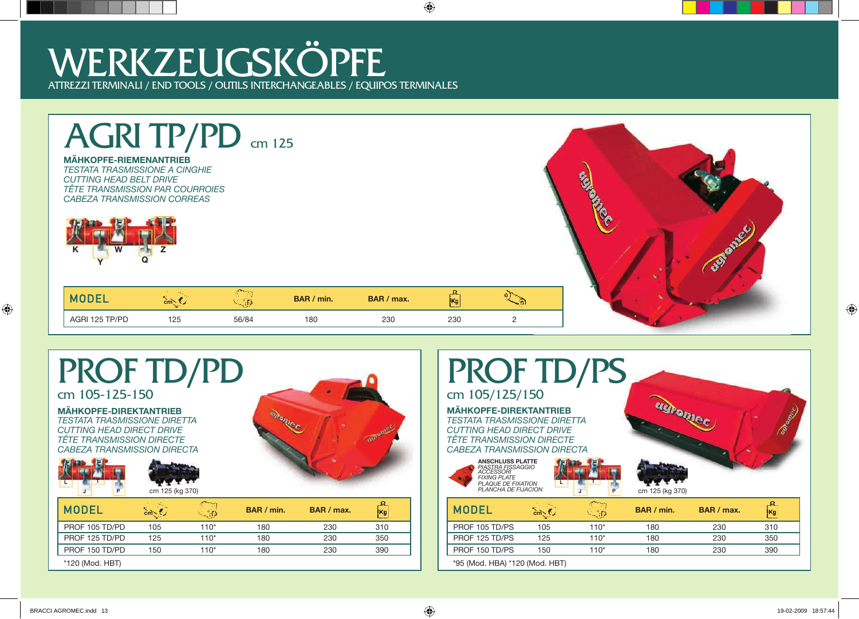



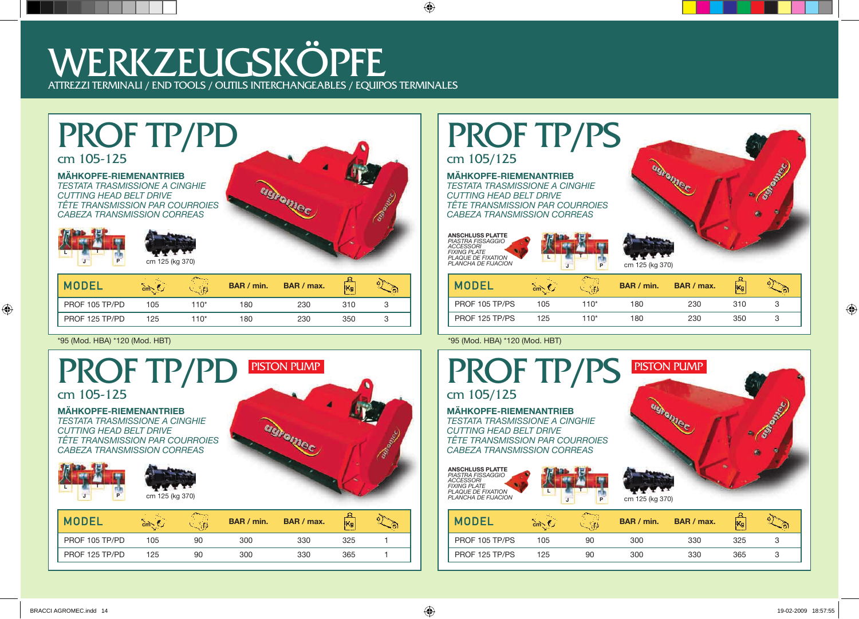# PROF TP/PD

### cm 105-125

### **MÄHKOPFE-RIEMENANTRIEB**

*TESTATA TRASMISSIONE A CINGHIE CUTTING HEAD BELT DRIVE TÊTE TRANSMISSION PAR COURROIES CABEZA TRANSMISSION CORREAS*



cm 125 (kg 370)



| <b>MODEL</b>   | $cm_{\sim}$ | M£   | BAR / min. | BAR / max. | lKg |   |
|----------------|-------------|------|------------|------------|-----|---|
| PROF 105 TP/PD | 105         | 110* | 180        | 230        | 310 |   |
| PROF 125 TP/PD | 125         | 110* | 180        | 230        | 350 | ٮ |



# PROF TP/PS

cm 105/125

#### **MÄHKOPFE-RIEMENANTRIEB** *TESTATA TRASMISSIONE A CINGHIE CUTTING HEAD BELT DRIVE TÊTE TRANSMISSION PAR COURROIES CABEZA TRANSMISSION CORREAS*

**L**

**J T**

**ANSCHLUSS PLATTE** *PIASTRA FISSAGGIO ACCESSORI FIXING PLATE PLAQUE DE FIXATION PLANCHA DE FIJACION*



|     | 防护层  | BAR / min. | BAR / max. | kg, |  |
|-----|------|------------|------------|-----|--|
| 105 | 110* | 180        | 230        | 310 |  |
| 125 | 110* | 180        | 230        | 350 |  |
|     |      |            |            |     |  |

\*95 (Mod. HBA) \*120 (Mod. HBT) \*95 (Mod. HBA) \*120 (Mod. HBT)



| <b>MODE</b>    |     |    | BAR / min. | BAR / max. | Kg  |  |
|----------------|-----|----|------------|------------|-----|--|
| PROF 105 TP/PS | 05  | 90 | 300        | 330        | 325 |  |
| PROF 125 TP/PS | 125 | 90 | 300        | 330        | 365 |  |